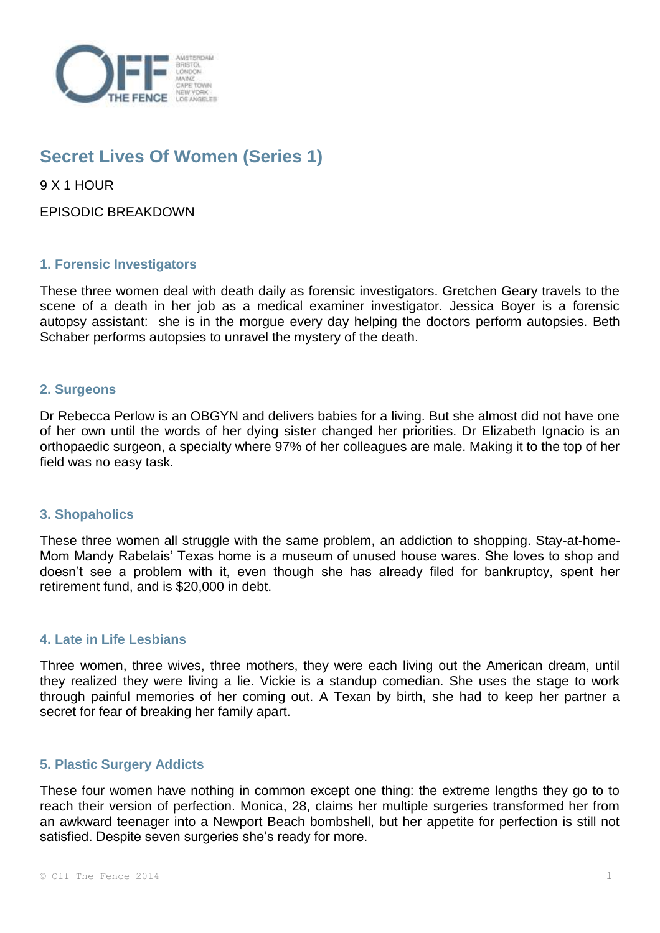

# **Secret Lives Of Women (Series 1)**

9 X 1 HOUR

EPISODIC BREAKDOWN

# **1. Forensic Investigators**

These three women deal with death daily as forensic investigators. Gretchen Geary travels to the scene of a death in her job as a medical examiner investigator. Jessica Boyer is a forensic autopsy assistant: she is in the morgue every day helping the doctors perform autopsies. Beth Schaber performs autopsies to unravel the mystery of the death.

# **2. Surgeons**

Dr Rebecca Perlow is an OBGYN and delivers babies for a living. But she almost did not have one of her own until the words of her dying sister changed her priorities. Dr Elizabeth Ignacio is an orthopaedic surgeon, a specialty where 97% of her colleagues are male. Making it to the top of her field was no easy task.

# **3. Shopaholics**

These three women all struggle with the same problem, an addiction to shopping. Stay-at-home-Mom Mandy Rabelais' Texas home is a museum of unused house wares. She loves to shop and doesn't see a problem with it, even though she has already filed for bankruptcy, spent her retirement fund, and is \$20,000 in debt.

# **4. Late in Life Lesbians**

Three women, three wives, three mothers, they were each living out the American dream, until they realized they were living a lie. Vickie is a standup comedian. She uses the stage to work through painful memories of her coming out. A Texan by birth, she had to keep her partner a secret for fear of breaking her family apart.

# **5. Plastic Surgery Addicts**

These four women have nothing in common except one thing: the extreme lengths they go to to reach their version of perfection. Monica, 28, claims her multiple surgeries transformed her from an awkward teenager into a Newport Beach bombshell, but her appetite for perfection is still not satisfied. Despite seven surgeries she's ready for more.